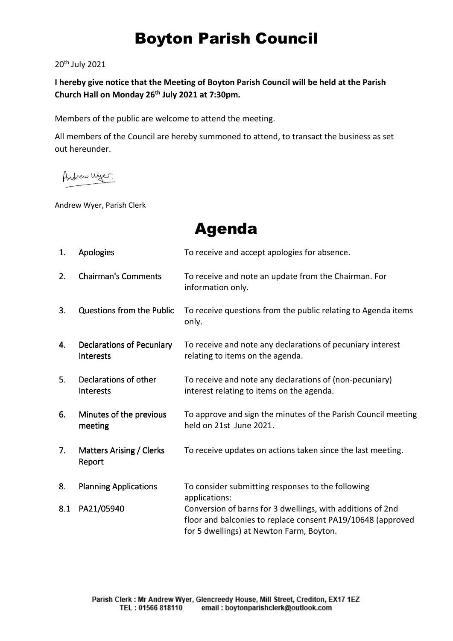## Boyton Parish Council

20th July 2021

**I hereby give notice that the Meeting of Boyton Parish Council will be held at the Parish Church Hall on Monday 26th July 2021 at 7:30pm.** 

Members of the public are welcome to attend the meeting.

All members of the Council are hereby summoned to attend, to transact the business as set out hereunder.

Andrew Wyer.

Andrew Wyer, Parish Clerk

Agenda

| 1.             | <b>Apologies</b>                                     | To receive and accept apologies for absence.                                                                                                                          |
|----------------|------------------------------------------------------|-----------------------------------------------------------------------------------------------------------------------------------------------------------------------|
| 2.             | <b>Chairman's Comments</b>                           | To receive and note an update from the Chairman. For<br>information only.                                                                                             |
| 3.             | Questions from the Public                            | To receive questions from the public relating to Agenda items<br>only.                                                                                                |
| 4.             | <b>Declarations of Pecuniary</b><br><b>Interests</b> | To receive and note any declarations of pecuniary interest<br>relating to items on the agenda.                                                                        |
| 5 <sub>1</sub> | Declarations of other<br><b>Interests</b>            | To receive and note any declarations of (non-pecuniary)<br>interest relating to items on the agenda.                                                                  |
| 6.             | Minutes of the previous<br>meeting                   | To approve and sign the minutes of the Parish Council meeting<br>held on 21st June 2021.                                                                              |
| 7.             | Matters Arising / Clerks<br>Report                   | To receive updates on actions taken since the last meeting.                                                                                                           |
| 8.             | <b>Planning Applications</b>                         | To consider submitting responses to the following<br>applications:                                                                                                    |
| 8.1            | PA21/05940                                           | Conversion of barns for 3 dwellings, with additions of 2nd<br>floor and balconies to replace consent PA19/10648 (approved<br>for 5 dwellings) at Newton Farm, Boyton. |